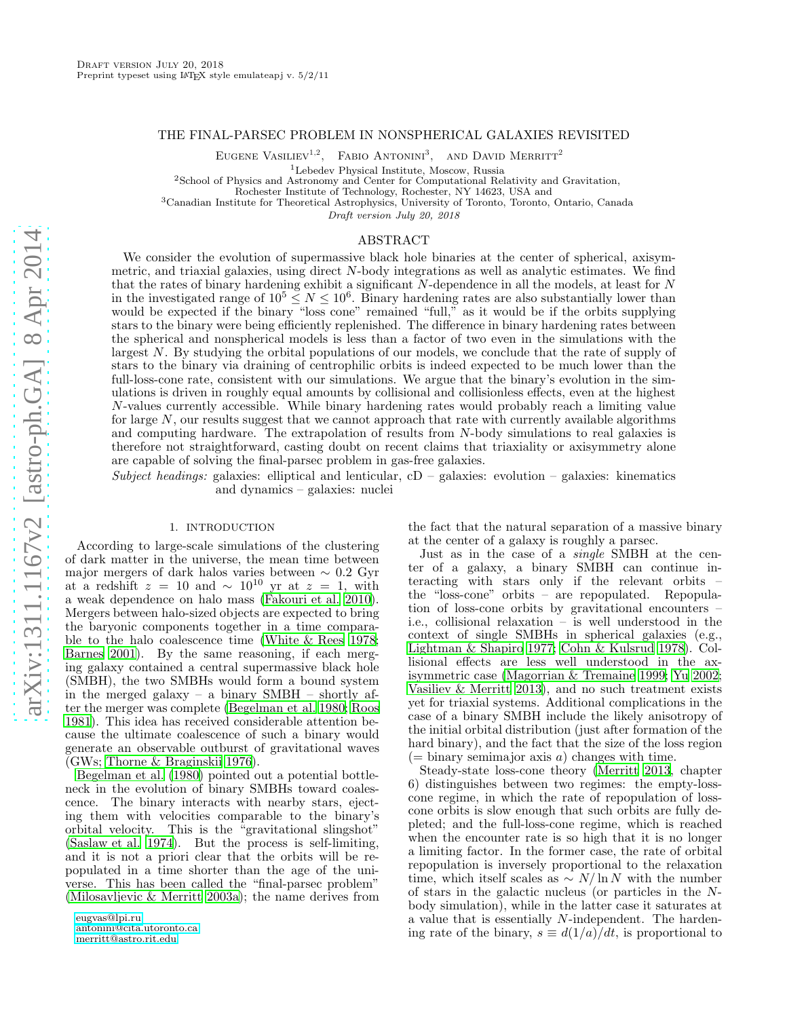# THE FINAL-PARSEC PROBLEM IN NONSPHERICAL GALAXIES REVISITED

EUGENE VASILIEV<sup>1,2</sup>, FABIO ANTONINI<sup>3</sup>, AND DAVID MERRITT<sup>2</sup>

<sup>1</sup>Lebedev Physical Institute, Moscow, Russia

<sup>2</sup>School of Physics and Astronomy and Center for Computational Relativity and Gravitation,

Rochester Institute of Technology, Rochester, NY 14623, USA and

<sup>3</sup>Canadian Institute for Theoretical Astrophysics, University of Toronto, Toronto, Ontario, Canada

Draft version July 20, 2018

## ABSTRACT

We consider the evolution of supermassive black hole binaries at the center of spherical, axisymmetric, and triaxial galaxies, using direct N-body integrations as well as analytic estimates. We find that the rates of binary hardening exhibit a significant N-dependence in all the models, at least for N in the investigated range of  $10^5 \le N \le 10^6$ . Binary hardening rates are also substantially lower than would be expected if the binary "loss cone" remained "full," as it would be if the orbits supplying stars to the binary were being efficiently replenished. The difference in binary hardening rates between the spherical and nonspherical models is less than a factor of two even in the simulations with the largest N. By studying the orbital populations of our models, we conclude that the rate of supply of stars to the binary via draining of centrophilic orbits is indeed expected to be much lower than the full-loss-cone rate, consistent with our simulations. We argue that the binary's evolution in the simulations is driven in roughly equal amounts by collisional and collisionless effects, even at the highest N-values currently accessible. While binary hardening rates would probably reach a limiting value for large  $N$ , our results suggest that we cannot approach that rate with currently available algorithms and computing hardware. The extrapolation of results from N-body simulations to real galaxies is therefore not straightforward, casting doubt on recent claims that triaxiality or axisymmetry alone are capable of solving the final-parsec problem in gas-free galaxies.

Subject headings: galaxies: elliptical and lenticular,  $cD -$  galaxies: evolution – galaxies: kinematics and dynamics – galaxies: nuclei

## 1. INTRODUCTION

According to large-scale simulations of the clustering of dark matter in the universe, the mean time between major mergers of dark halos varies between  $\sim 0.2$  Gyr at a redshift  $z = 10$  and  $\sim 10^{10}$  yr at  $z = 1$ , with a weak dependence on halo mass [\(Fakouri et al. 2010\)](#page-8-0). Mergers between halo-sized objects are expected to bring the baryonic components together in a time comparable to the halo coalescence time [\(White & Rees 1978;](#page-8-1) [Barnes 2001\)](#page-8-2). By the same reasoning, if each merging galaxy contained a central supermassive black hole (SMBH), the two SMBHs would form a bound system in the merged galaxy – a binary SMBH – shortly after the merger was complete [\(Begelman et al. 1980;](#page-8-3) [Roos](#page-8-4) [1981\)](#page-8-4). This idea has received considerable attention because the ultimate coalescence of such a binary would generate an observable outburst of gravitational waves (GWs; [Thorne & Braginskii 1976\)](#page-8-5).

[Begelman et al. \(1980\)](#page-8-3) pointed out a potential bottleneck in the evolution of binary SMBHs toward coalescence. The binary interacts with nearby stars, ejecting them with velocities comparable to the binary's orbital velocity. This is the "gravitational slingshot" [\(Saslaw et al. 1974\)](#page-8-6). But the process is self-limiting, and it is not a priori clear that the orbits will be repopulated in a time shorter than the age of the universe. This has been called the "final-parsec problem" [\(Milosavljevic & Merritt 2003a\)](#page-8-7); the name derives from

[eugvas@lpi.ru](mailto:eugvas@lpi.ru) [antonini@cita.utoronto.ca](mailto:antonini@cita.utoronto.ca) [merritt@astro.rit.edu](mailto:merritt@astro.rit.edu)

the fact that the natural separation of a massive binary at the center of a galaxy is roughly a parsec.

Just as in the case of a single SMBH at the center of a galaxy, a binary SMBH can continue interacting with stars only if the relevant orbits – the "loss-cone" orbits – are repopulated. Repopulation of loss-cone orbits by gravitational encounters – i.e., collisional relaxation – is well understood in the context of single SMBHs in spherical galaxies (e.g., [Lightman & Shapiro 1977;](#page-8-8) [Cohn & Kulsrud 1978\)](#page-8-9). Collisional effects are less well understood in the axisymmetric case [\(Magorrian & Tremaine 1999;](#page-8-10) [Yu 2002](#page-8-11); [Vasiliev & Merritt 2013\)](#page-8-12), and no such treatment exists yet for triaxial systems. Additional complications in the case of a binary SMBH include the likely anisotropy of the initial orbital distribution (just after formation of the hard binary), and the fact that the size of the loss region  $(=$  binary semimajor axis a) changes with time.

Steady-state loss-cone theory [\(Merritt 2013,](#page-8-13) chapter 6) distinguishes between two regimes: the empty-losscone regime, in which the rate of repopulation of losscone orbits is slow enough that such orbits are fully depleted; and the full-loss-cone regime, which is reached when the encounter rate is so high that it is no longer a limiting factor. In the former case, the rate of orbital repopulation is inversely proportional to the relaxation time, which itself scales as  $\sim N/\ln N$  with the number of stars in the galactic nucleus (or particles in the Nbody simulation), while in the latter case it saturates at a value that is essentially N-independent. The hardening rate of the binary,  $s \equiv d(1/a)/dt$ , is proportional to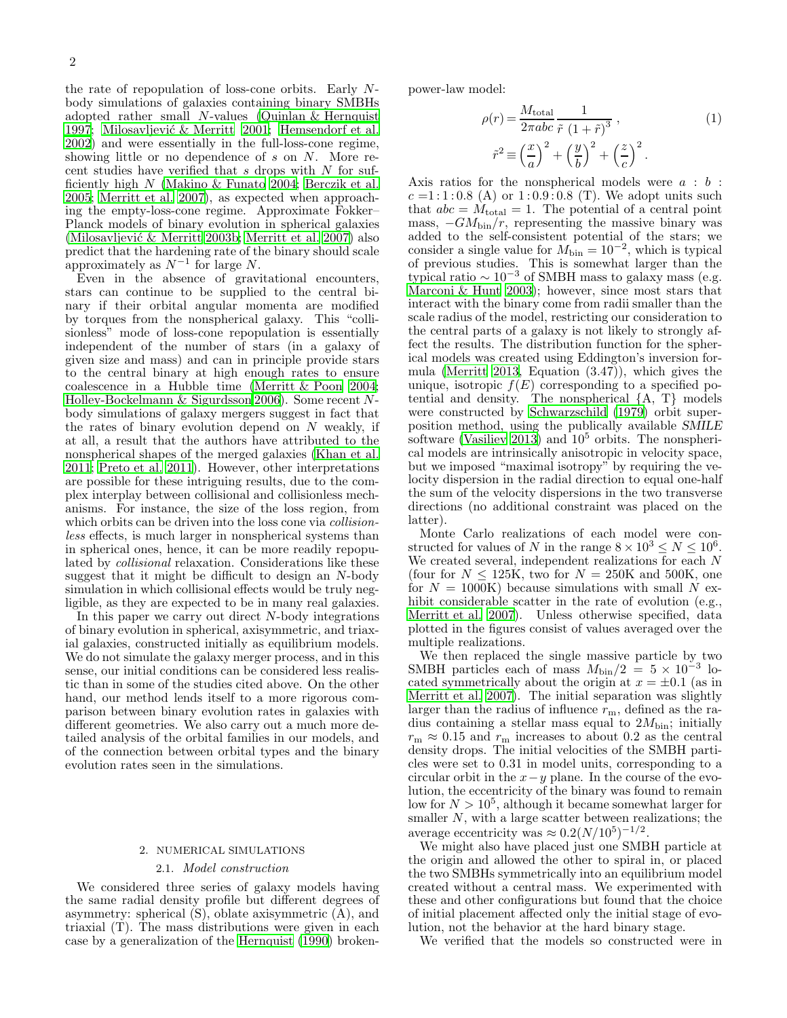the rate of repopulation of loss-cone orbits. Early Nbody simulations of galaxies containing binary SMBHs adopted rather small  $N$ -values (Quinlan  $&$  Hernquist [1997;](#page-8-14) Milosavljević & Merritt 2001; [Hemsendorf et al.](#page-8-16) [2002\)](#page-8-16) and were essentially in the full-loss-cone regime, showing little or no dependence of s on N. More recent studies have verified that  $s$  drops with  $N$  for sufficiently high N [\(Makino & Funato 2004;](#page-8-17) [Berczik et al.](#page-8-18) [2005;](#page-8-18) [Merritt et al. 2007\)](#page-8-19), as expected when approaching the empty-loss-cone regime. Approximate Fokker– Planck models of binary evolution in spherical galaxies (Milosavljević & Merritt 2003b; [Merritt et al. 2007\)](#page-8-19) also predict that the hardening rate of the binary should scale approximately as  $N^{-1}$  for large N.

Even in the absence of gravitational encounters, stars can continue to be supplied to the central binary if their orbital angular momenta are modified by torques from the nonspherical galaxy. This "collisionless" mode of loss-cone repopulation is essentially independent of the number of stars (in a galaxy of given size and mass) and can in principle provide stars to the central binary at high enough rates to ensure coalescence in a Hubble time [\(Merritt & Poon 2004;](#page-8-21) [Holley-Bockelmann & Sigurdsson 2006\)](#page-8-22). Some recent Nbody simulations of galaxy mergers suggest in fact that the rates of binary evolution depend on  $N$  weakly, if at all, a result that the authors have attributed to the nonspherical shapes of the merged galaxies [\(Khan et al.](#page-8-23) [2011;](#page-8-23) [Preto et al. 2011\)](#page-8-24). However, other interpretations are possible for these intriguing results, due to the complex interplay between collisional and collisionless mechanisms. For instance, the size of the loss region, from which orbits can be driven into the loss cone via *collision*less effects, is much larger in nonspherical systems than in spherical ones, hence, it can be more readily repopulated by collisional relaxation. Considerations like these suggest that it might be difficult to design an N-body simulation in which collisional effects would be truly negligible, as they are expected to be in many real galaxies.

In this paper we carry out direct N-body integrations of binary evolution in spherical, axisymmetric, and triaxial galaxies, constructed initially as equilibrium models. We do not simulate the galaxy merger process, and in this sense, our initial conditions can be considered less realistic than in some of the studies cited above. On the other hand, our method lends itself to a more rigorous comparison between binary evolution rates in galaxies with different geometries. We also carry out a much more detailed analysis of the orbital families in our models, and of the connection between orbital types and the binary evolution rates seen in the simulations.

### 2. NUMERICAL SIMULATIONS

# 2.1. Model construction

We considered three series of galaxy models having the same radial density profile but different degrees of asymmetry: spherical  $(S)$ , oblate axisymmetric  $(A)$ , and triaxial (T). The mass distributions were given in each case by a generalization of the [Hernquist \(1990](#page-8-25)) brokenpower-law model:

$$
\rho(r) = \frac{M_{\text{total}}}{2\pi abc} \frac{1}{\tilde{r} (1+\tilde{r})^3},
$$
\n
$$
\tilde{r}^2 \equiv \left(\frac{x}{a}\right)^2 + \left(\frac{y}{b}\right)^2 + \left(\frac{z}{c}\right)^2.
$$
\n(1)

Axis ratios for the nonspherical models were  $a : b :$  $c = 1:1:0.8$  (A) or  $1:0.9:0.8$  (T). We adopt units such that  $abc = M_{total} = 1$ . The potential of a central point mass,  $-GM_{\text{bin}}/r$ , representing the massive binary was added to the self-consistent potential of the stars; we consider a single value for  $M_{\text{bin}} = 10^{-2}$ , which is typical of previous studies. This is somewhat larger than the typical ratio  $\sim 10^{-3}$  of SMBH mass to galaxy mass (e.g. [Marconi & Hunt 2003](#page-8-26)); however, since most stars that interact with the binary come from radii smaller than the scale radius of the model, restricting our consideration to the central parts of a galaxy is not likely to strongly affect the results. The distribution function for the spherical models was created using Eddington's inversion formula [\(Merritt 2013,](#page-8-13) Equation (3.47)), which gives the unique, isotropic  $f(E)$  corresponding to a specified potential and density. The nonspherical {A, T} models were constructed by [Schwarzschild \(1979\)](#page-8-27) orbit superposition method, using the publically available SMILE software [\(Vasiliev 2013\)](#page-8-28) and  $10^5$  orbits. The nonspherical models are intrinsically anisotropic in velocity space, but we imposed "maximal isotropy" by requiring the velocity dispersion in the radial direction to equal one-half the sum of the velocity dispersions in the two transverse directions (no additional constraint was placed on the latter).

Monte Carlo realizations of each model were constructed for values of N in the range  $8 \times 10^3 \leq N \leq 10^6$ . We created several, independent realizations for each N (four for  $N \le 125K$ , two for  $N = 250K$  and 500K, one for  $N = 1000K$ ) because simulations with small N exhibit considerable scatter in the rate of evolution (e.g., [Merritt et al. 2007](#page-8-19)). Unless otherwise specified, data plotted in the figures consist of values averaged over the multiple realizations.

We then replaced the single massive particle by two SMBH particles each of mass  $M_{\text{bin}}/2 = 5 \times 10^{-3}$  located symmetrically about the origin at  $x = \pm 0.1$  (as in [Merritt et al. 2007\)](#page-8-19). The initial separation was slightly larger than the radius of influence  $r<sub>m</sub>$ , defined as the radius containing a stellar mass equal to  $2M_{\text{bin}}$ ; initially  $r_{\rm m} \approx 0.15$  and  $r_{\rm m}$  increases to about 0.2 as the central density drops. The initial velocities of the SMBH particles were set to 0.31 in model units, corresponding to a circular orbit in the  $x-y$  plane. In the course of the evolution, the eccentricity of the binary was found to remain low for  $N > 10^5$ , although it became somewhat larger for smaller  $N$ , with a large scatter between realizations; the average eccentricity was  $\approx 0.2 (N/10^5)^{-1/2}$ .

We might also have placed just one SMBH particle at the origin and allowed the other to spiral in, or placed the two SMBHs symmetrically into an equilibrium model created without a central mass. We experimented with these and other configurations but found that the choice of initial placement affected only the initial stage of evolution, not the behavior at the hard binary stage.

We verified that the models so constructed were in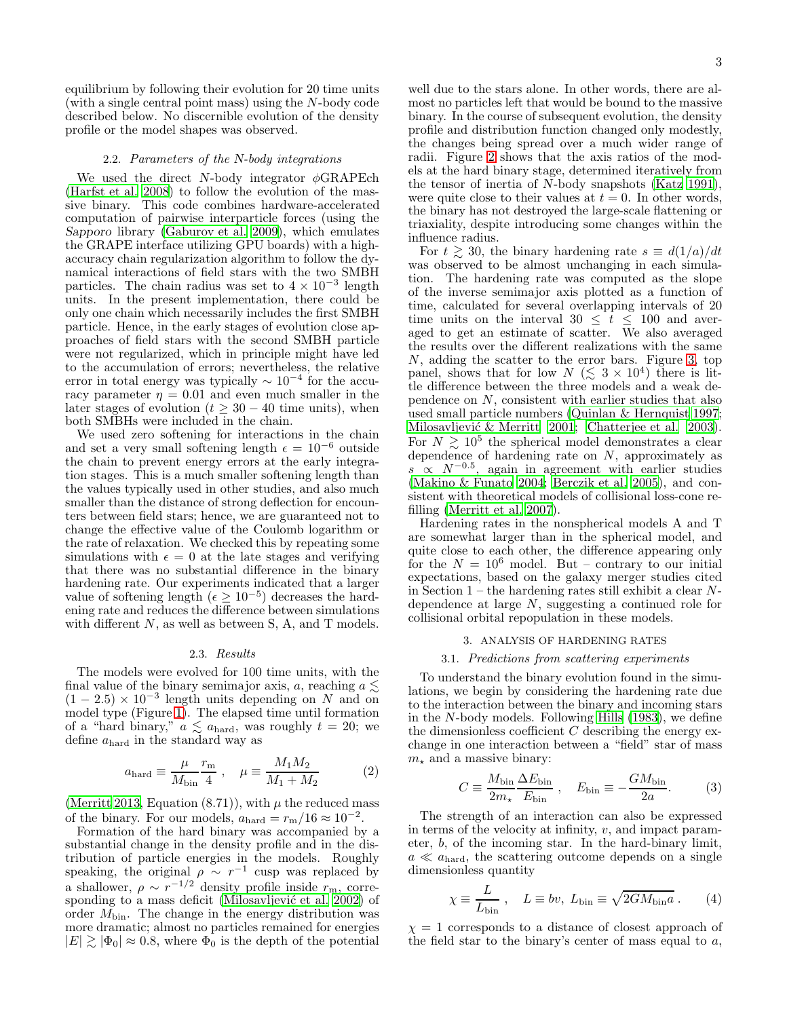equilibrium by following their evolution for 20 time units (with a single central point mass) using the N-body code described below. No discernible evolution of the density profile or the model shapes was observed.

### 2.2. Parameters of the N-body integrations

We used the direct N-body integrator  $\phi$ GRAPEch [\(Harfst et al. 2008\)](#page-8-29) to follow the evolution of the massive binary. This code combines hardware-accelerated computation of pairwise interparticle forces (using the Sapporo library [\(Gaburov et al. 2009](#page-8-30)), which emulates the GRAPE interface utilizing GPU boards) with a highaccuracy chain regularization algorithm to follow the dynamical interactions of field stars with the two SMBH particles. The chain radius was set to  $4 \times 10^{-3}$  length units. In the present implementation, there could be only one chain which necessarily includes the first SMBH particle. Hence, in the early stages of evolution close approaches of field stars with the second SMBH particle were not regularized, which in principle might have led to the accumulation of errors; nevertheless, the relative error in total energy was typically  $\sim 10^{-4}$  for the accuracy parameter  $\eta = 0.01$  and even much smaller in the later stages of evolution  $(t \geq 30 - 40)$  time units), when both SMBHs were included in the chain.

We used zero softening for interactions in the chain and set a very small softening length  $\epsilon = 10^{-6}$  outside the chain to prevent energy errors at the early integration stages. This is a much smaller softening length than the values typically used in other studies, and also much smaller than the distance of strong deflection for encounters between field stars; hence, we are guaranteed not to change the effective value of the Coulomb logarithm or the rate of relaxation. We checked this by repeating some simulations with  $\epsilon = 0$  at the late stages and verifying that there was no substantial difference in the binary hardening rate. Our experiments indicated that a larger value of softening length  $(\epsilon \geq 10^{-5})$  decreases the hardening rate and reduces the difference between simulations with different  $N$ , as well as between S, A, and T models.

### 2.3. Results

The models were evolved for 100 time units, with the final value of the binary semimajor axis, a, reaching  $a \lesssim$  $(1-2.5) \times 10^{-3}$  length units depending on N and on model type (Figure [1\)](#page-3-0). The elapsed time until formation of a "hard binary,"  $a \leq a_{\text{hard}}$ , was roughly  $t = 20$ ; we define  $a_{\text{hard}}$  in the standard way as

$$
a_{\text{hard}} \equiv \frac{\mu}{M_{\text{bin}}} \frac{r_{\text{m}}}{4} , \quad \mu \equiv \frac{M_1 M_2}{M_1 + M_2} \tag{2}
$$

[\(Merritt 2013,](#page-8-13) Equation  $(8.71)$ ), with  $\mu$  the reduced mass of the binary. For our models,  $a_{\text{hard}} = r_{\text{m}}/16 \approx 10^{-2}$ .

Formation of the hard binary was accompanied by a substantial change in the density profile and in the distribution of particle energies in the models. Roughly speaking, the original  $\rho \sim r^{-1}$  cusp was replaced by a shallower,  $\rho \sim r^{-1/2}$  density profile inside  $r_{\rm m}$ , corresponding to a mass deficit (Milosavljević et al.  $2002$ ) of order  $M_{\text{bin}}$ . The change in the energy distribution was more dramatic; almost no particles remained for energies  $|E| \gtrsim |\Phi_0| \approx 0.8$ , where  $\Phi_0$  is the depth of the potential

well due to the stars alone. In other words, there are almost no particles left that would be bound to the massive binary. In the course of subsequent evolution, the density profile and distribution function changed only modestly, the changes being spread over a much wider range of radii. Figure [2](#page-3-1) shows that the axis ratios of the models at the hard binary stage, determined iteratively from the tensor of inertia of N-body snapshots [\(Katz 1991](#page-8-32)), were quite close to their values at  $t = 0$ . In other words, the binary has not destroyed the large-scale flattening or triaxiality, despite introducing some changes within the influence radius.

For  $t \ge 30$ , the binary hardening rate  $s \equiv d(1/a)/dt$ was observed to be almost unchanging in each simulation. The hardening rate was computed as the slope of the inverse semimajor axis plotted as a function of time, calculated for several overlapping intervals of 20 time units on the interval  $30 \leq t \leq 100$  and averaged to get an estimate of scatter. We also averaged the results over the different realizations with the same N, adding the scatter to the error bars. Figure [3,](#page-4-0) top panel, shows that for low  $N \leq 3 \times 10^4$  there is little difference between the three models and a weak dependence on N, consistent with earlier studies that also used small particle numbers [\(Quinlan & Hernquist 1997](#page-8-14); Milosavljević & Merritt 2001; [Chatterjee et al. 2003](#page-8-33)). For  $N \gtrsim 10^5$  the spherical model demonstrates a clear dependence of hardening rate on N, approximately as  $s \propto N^{-0.5}$ , again in agreement with earlier studies [\(Makino & Funato 2004](#page-8-17); [Berczik et al. 2005](#page-8-18)), and consistent with theoretical models of collisional loss-cone refilling [\(Merritt et al. 2007\)](#page-8-19).

Hardening rates in the nonspherical models A and T are somewhat larger than in the spherical model, and quite close to each other, the difference appearing only for the  $N = 10^6$  model. But – contrary to our initial expectations, based on the galaxy merger studies cited in Section  $1$  – the hardening rates still exhibit a clear  $N$ dependence at large N, suggesting a continued role for collisional orbital repopulation in these models.

### 3. ANALYSIS OF HARDENING RATES

### 3.1. Predictions from scattering experiments

To understand the binary evolution found in the simulations, we begin by considering the hardening rate due to the interaction between the binary and incoming stars in the N-body models. Following [Hills \(1983\)](#page-8-34), we define the dimensionless coefficient  $C$  describing the energy exchange in one interaction between a "field" star of mass  $m_{\star}$  and a massive binary:

$$
C \equiv \frac{M_{\text{bin}}}{2m_{\star}} \frac{\Delta E_{\text{bin}}}{E_{\text{bin}}}, \quad E_{\text{bin}} \equiv -\frac{GM_{\text{bin}}}{2a}.
$$
 (3)

The strength of an interaction can also be expressed in terms of the velocity at infinity,  $v$ , and impact parameter, b, of the incoming star. In the hard-binary limit,  $a \ll a_{\text{hard}}$ , the scattering outcome depends on a single dimensionless quantity

$$
\chi \equiv \frac{L}{L_{\text{bin}}}, \quad L \equiv bv, \ L_{\text{bin}} \equiv \sqrt{2GM_{\text{bin}}a} \ . \tag{4}
$$

 $\chi$  = 1 corresponds to a distance of closest approach of the field star to the binary's center of mass equal to  $a$ ,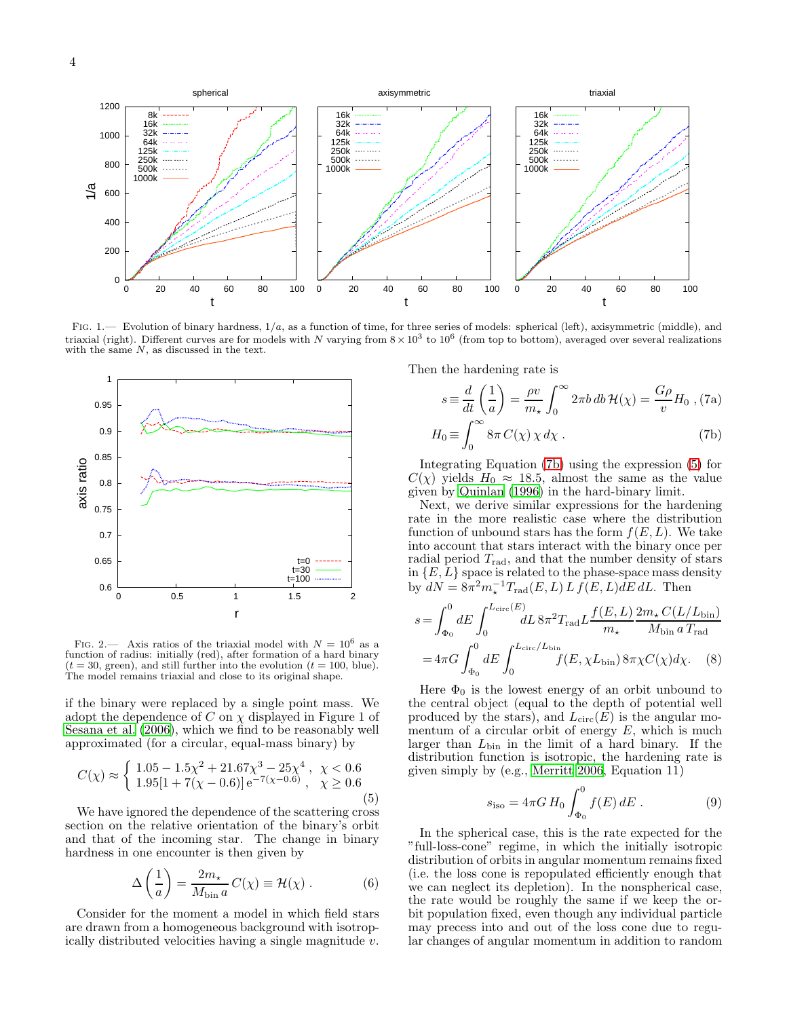

<span id="page-3-0"></span>FIG. 1.— Evolution of binary hardness,  $1/a$ , as a function of time, for three series of models: spherical (left), axisymmetric (middle), and triaxial (right). Different curves are for models with N varying from  $8 \times 10^3$  to  $10^6$  (from top to bottom), averaged over several realizations with the same  $N$ , as discussed in the text.



<span id="page-3-1"></span>FIG. 2.— Axis ratios of the triaxial model with  $N = 10^6$  as a function of radius: initially (red), after formation of a hard binary  $(t = 30, \text{green})$ , and still further into the evolution  $(t = 100, \text{blue})$ . The model remains triaxial and close to its original shape.

if the binary were replaced by a single point mass. We adopt the dependence of C on  $\chi$  displayed in Figure 1 of [Sesana et al. \(2006](#page-8-35)), which we find to be reasonably well approximated (for a circular, equal-mass binary) by

<span id="page-3-3"></span>
$$
C(\chi) \approx \begin{cases} 1.05 - 1.5\chi^2 + 21.67\chi^3 - 25\chi^4, & \chi < 0.6\\ 1.95[1 + 7(\chi - 0.6)]e^{-7(\chi - 0.6)}, & \chi \ge 0.6 \end{cases}
$$
(5)

We have ignored the dependence of the scattering cross section on the relative orientation of the binary's orbit and that of the incoming star. The change in binary hardness in one encounter is then given by

<span id="page-3-5"></span>
$$
\Delta\left(\frac{1}{a}\right) = \frac{2m_{\star}}{M_{\text{bin}}}C(\chi) \equiv \mathcal{H}(\chi) . \tag{6}
$$

Consider for the moment a model in which field stars are drawn from a homogeneous background with isotropically distributed velocities having a single magnitude v. Then the hardening rate is

<span id="page-3-2"></span>
$$
s \equiv \frac{d}{dt} \left( \frac{1}{a} \right) = \frac{\rho v}{m_{\star}} \int_0^{\infty} 2\pi b \, db \, \mathcal{H}(\chi) = \frac{G\rho}{v} H_0 \text{ , (7a)}
$$

$$
H_0 \equiv \int_0^{\infty} 8\pi \, C(\chi) \, \chi \, d\chi \text{ .}
$$
(7b)

Integrating Equation [\(7b\)](#page-3-2) using the expression [\(5\)](#page-3-3) for  $C(\chi)$  yields  $H_0 \approx 18.5$ , almost the same as the value given by [Quinlan \(1996\)](#page-8-36) in the hard-binary limit.

Next, we derive similar expressions for the hardening rate in the more realistic case where the distribution function of unbound stars has the form  $f(E, L)$ . We take into account that stars interact with the binary once per radial period  $T_{\text{rad}}$ , and that the number density of stars in  $\{E, L\}$  space is related to the phase-space mass density by  $dN = 8\pi^2 m_\star^{-1} T_{\text{rad}}(E, L) L f(E, L) dE dL$ . Then

$$
s = \int_{\Phi_0}^0 dE \int_0^{L_{\text{circ}}(E)} dL \, 8\pi^2 T_{\text{rad}} L \frac{f(E, L)}{m_{\star}} \frac{2m_{\star} C(L/L_{\text{bin}})}{M_{\text{bin}} \, a \, T_{\text{rad}}}
$$

$$
= 4\pi G \int_{\Phi_0}^0 dE \int_0^{L_{\text{circ}}/L_{\text{bin}}} f(E, \chi L_{\text{bin}}) \, 8\pi \chi C(\chi) d\chi. \tag{8}
$$

Here  $\Phi_0$  is the lowest energy of an orbit unbound to the central object (equal to the depth of potential well produced by the stars), and  $L_{\text{circ}}(E)$  is the angular momentum of a circular orbit of energy  $E$ , which is much larger than  $L_{\text{bin}}$  in the limit of a hard binary. If the distribution function is isotropic, the hardening rate is given simply by (e.g., [Merritt 2006,](#page-8-37) Equation 11)

<span id="page-3-4"></span>
$$
s_{\rm iso} = 4\pi G H_0 \int_{\Phi_0}^0 f(E) \, dE \,. \tag{9}
$$

In the spherical case, this is the rate expected for the "full-loss-cone" regime, in which the initially isotropic distribution of orbits in angular momentum remains fixed (i.e. the loss cone is repopulated efficiently enough that we can neglect its depletion). In the nonspherical case, the rate would be roughly the same if we keep the orbit population fixed, even though any individual particle may precess into and out of the loss cone due to regular changes of angular momentum in addition to random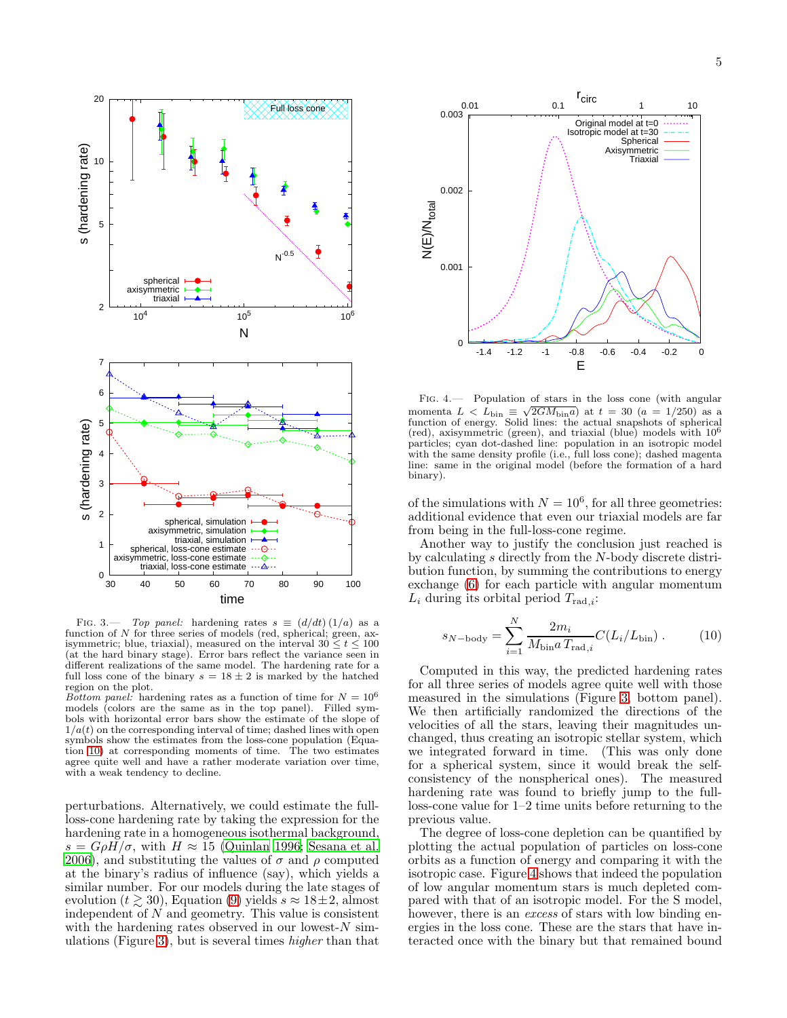

<span id="page-4-0"></span>FIG. 3.— Top panel: hardening rates  $s \equiv (d/dt) (1/a)$  as a function of N for three series of models (red, spherical; green, axisymmetric; blue, triaxial), measured on the interval  $30 \le t \le 100$ (at the hard binary stage). Error bars reflect the variance seen in different realizations of the same model. The hardening rate for a full loss cone of the binary  $s = 18 \pm 2$  is marked by the hatched region on the plot.

Bottom panel: hardening rates as a function of time for  $N = 10^6$ models (colors are the same as in the top panel). Filled symbols with horizontal error bars show the estimate of the slope of  $1/a(t)$  on the corresponding interval of time; dashed lines with open symbols show the estimates from the loss-cone population (Equation [10\)](#page-4-1) at corresponding moments of time. The two estimates agree quite well and have a rather moderate variation over time, with a weak tendency to decline.

perturbations. Alternatively, we could estimate the fullloss-cone hardening rate by taking the expression for the hardening rate in a homogeneous isothermal background,  $s = G \rho H / \sigma$ , with  $H \approx 15$  [\(Quinlan 1996;](#page-8-36) [Sesana et al.](#page-8-35) [2006\)](#page-8-35), and substituting the values of  $\sigma$  and  $\rho$  computed at the binary's radius of influence (say), which yields a similar number. For our models during the late stages of evolution ( $t \ge 30$ ), Equation [\(9\)](#page-3-4) yields  $s \approx 18 \pm 2$ , almost independent of  $N$  and geometry. This value is consistent with the hardening rates observed in our lowest- $N$  simulations (Figure [3\)](#page-4-0), but is several times higher than that



<span id="page-4-2"></span>Fig. 4.— Population of stars in the loss cone (with angular momenta  $L < L_{\text{bin}} \equiv \sqrt{2GM_{\text{bin}}a}$  at  $t = 30$   $(a = 1/250)$  as a function of energy. Solid lines: the actual snapshots of spherical (red), axisymmetric (green), and triaxial (blue) models with 10<sup>6</sup> particles; cyan dot-dashed line: population in an isotropic model with the same density profile (i.e., full loss cone); dashed magenta line: same in the original model (before the formation of a hard binary).

of the simulations with  $N = 10^6$ , for all three geometries: additional evidence that even our triaxial models are far from being in the full-loss-cone regime.

Another way to justify the conclusion just reached is by calculating s directly from the N-body discrete distribution function, by summing the contributions to energy exchange [\(6\)](#page-3-5) for each particle with angular momentum  $L_i$  during its orbital period  $T_{\text{rad},i}$ :

<span id="page-4-1"></span>
$$
s_{N-\text{body}} = \sum_{i=1}^{N} \frac{2m_i}{M_{\text{bin}} T_{\text{rad},i}} C(L_i/L_{\text{bin}}) \,. \tag{10}
$$

Computed in this way, the predicted hardening rates for all three series of models agree quite well with those measured in the simulations (Figure [3,](#page-4-0) bottom panel). We then artificially randomized the directions of the velocities of all the stars, leaving their magnitudes unchanged, thus creating an isotropic stellar system, which we integrated forward in time. (This was only done for a spherical system, since it would break the selfconsistency of the nonspherical ones). The measured hardening rate was found to briefly jump to the fullloss-cone value for 1–2 time units before returning to the previous value.

The degree of loss-cone depletion can be quantified by plotting the actual population of particles on loss-cone orbits as a function of energy and comparing it with the isotropic case. Figure [4](#page-4-2) shows that indeed the population of low angular momentum stars is much depleted compared with that of an isotropic model. For the S model, however, there is an *excess* of stars with low binding energies in the loss cone. These are the stars that have interacted once with the binary but that remained bound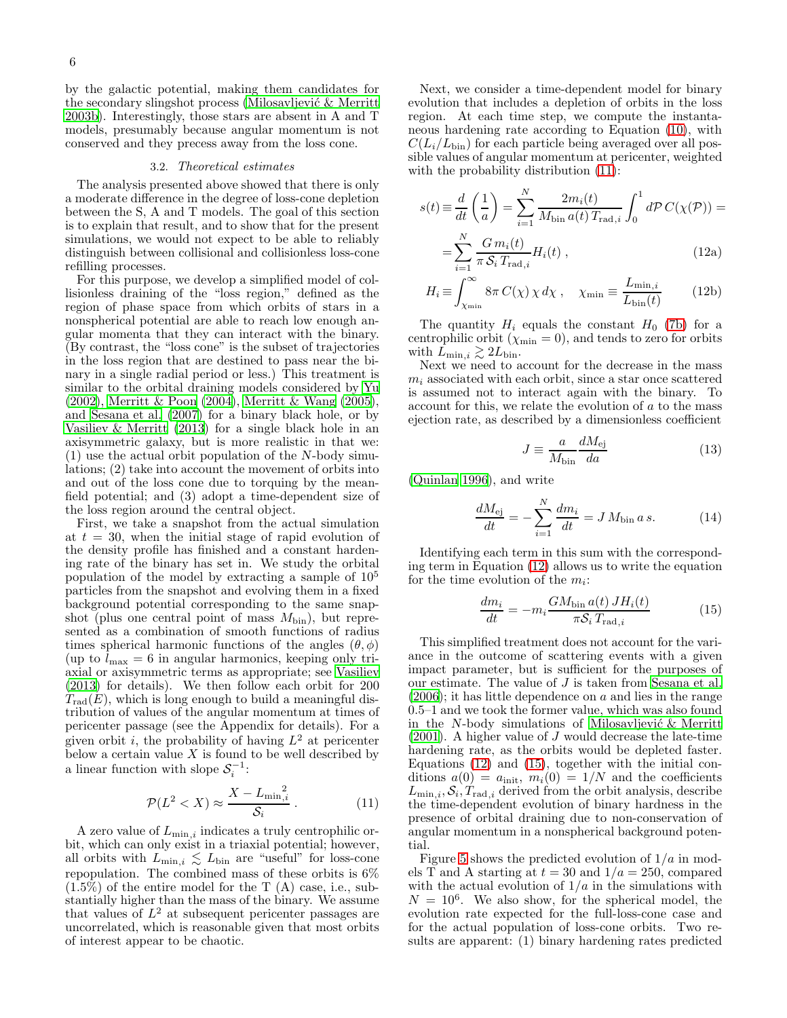by the galactic potential, making them candidates for the secondary slingshot process (Milosavljević & Merritt [2003b](#page-8-20)). Interestingly, those stars are absent in A and T models, presumably because angular momentum is not conserved and they precess away from the loss cone.

#### 3.2. Theoretical estimates

<span id="page-5-3"></span>The analysis presented above showed that there is only a moderate difference in the degree of loss-cone depletion between the S, A and T models. The goal of this section is to explain that result, and to show that for the present simulations, we would not expect to be able to reliably distinguish between collisional and collisionless loss-cone refilling processes.

For this purpose, we develop a simplified model of collisionless draining of the "loss region," defined as the region of phase space from which orbits of stars in a nonspherical potential are able to reach low enough angular momenta that they can interact with the binary. (By contrast, the "loss cone" is the subset of trajectories in the loss region that are destined to pass near the binary in a single radial period or less.) This treatment is similar to the orbital draining models considered by [Yu](#page-8-11) [\(2002\)](#page-8-11), [Merritt & Poon \(2004](#page-8-21)), [Merritt & Wang \(2005\)](#page-8-38), and [Sesana et al. \(2007\)](#page-8-39) for a binary black hole, or by [Vasiliev & Merritt \(2013\)](#page-8-12) for a single black hole in an axisymmetric galaxy, but is more realistic in that we: (1) use the actual orbit population of the N-body simulations; (2) take into account the movement of orbits into and out of the loss cone due to torquing by the meanfield potential; and (3) adopt a time-dependent size of the loss region around the central object.

First, we take a snapshot from the actual simulation at  $t = 30$ , when the initial stage of rapid evolution of the density profile has finished and a constant hardening rate of the binary has set in. We study the orbital population of the model by extracting a sample of  $10^5$ particles from the snapshot and evolving them in a fixed background potential corresponding to the same snapshot (plus one central point of mass  $M_{\text{bin}}$ ), but represented as a combination of smooth functions of radius times spherical harmonic functions of the angles  $(\theta, \phi)$ (up to  $l_{\text{max}} = 6$  in angular harmonics, keeping only triaxial or axisymmetric terms as appropriate; see [Vasiliev](#page-8-28) [\(2013\)](#page-8-28) for details). We then follow each orbit for 200  $T_{rad}(E)$ , which is long enough to build a meaningful distribution of values of the angular momentum at times of pericenter passage (see the Appendix for details). For a given orbit *i*, the probability of having  $L^2$  at pericenter below a certain value  $X$  is found to be well described by a linear function with slope  $S_i^{-1}$ :

<span id="page-5-0"></span>
$$
\mathcal{P}(L^2 < X) \approx \frac{X - L_{\min,i}}{\mathcal{S}_i} \,. \tag{11}
$$

A zero value of  $L_{\text{min},i}$  indicates a truly centrophilic orbit, which can only exist in a triaxial potential; however, all orbits with  $L_{\min,i} \lesssim L_{\text{bin}}$  are "useful" for loss-cone repopulation. The combined mass of these orbits is 6%  $(1.5\%)$  of the entire model for the T  $(A)$  case, i.e., substantially higher than the mass of the binary. We assume that values of  $L^2$  at subsequent pericenter passages are uncorrelated, which is reasonable given that most orbits of interest appear to be chaotic.

Next, we consider a time-dependent model for binary evolution that includes a depletion of orbits in the loss region. At each time step, we compute the instantaneous hardening rate according to Equation [\(10\)](#page-4-1), with  $C(L_i/L_{\text{bin}})$  for each particle being averaged over all possible values of angular momentum at pericenter, weighted with the probability distribution [\(11\)](#page-5-0):

<span id="page-5-1"></span>
$$
s(t) \equiv \frac{d}{dt} \left(\frac{1}{a}\right) = \sum_{i=1}^{N} \frac{2m_i(t)}{M_{\text{bin }a}(t) T_{\text{rad},i}} \int_0^1 d\mathcal{P} C(\chi(\mathcal{P})) =
$$

$$
= \sum_{i=1}^{N} \frac{G m_i(t)}{\pi \mathcal{S}_i T_{\text{rad},i}} H_i(t) , \qquad (12a)
$$

$$
H_i \equiv \int_{\chi_{\min}}^{\infty} 8\pi C(\chi) \chi \, d\chi \;, \quad \chi_{\min} \equiv \frac{L_{\min,i}}{L_{\text{bin}}(t)} \qquad (12b)
$$

The quantity  $H_i$  equals the constant  $H_0$  [\(7b\)](#page-3-2) for a centrophilic orbit  $(\chi_{\text{min}} = 0)$ , and tends to zero for orbits with  $L_{\min,i} \gtrsim 2L_{\min}$ .

Next we need to account for the decrease in the mass  $m_i$  associated with each orbit, since a star once scattered is assumed not to interact again with the binary. To account for this, we relate the evolution of a to the mass ejection rate, as described by a dimensionless coefficient

$$
J \equiv \frac{a}{M_{\text{bin}}} \frac{dM_{\text{ej}}}{da} \tag{13}
$$

[\(Quinlan 1996\)](#page-8-36), and write

$$
\frac{dM_{\rm ej}}{dt} = -\sum_{i=1}^{N} \frac{dm_i}{dt} = J M_{\rm bin} a s.
$$
 (14)

Identifying each term in this sum with the corresponding term in Equation [\(12\)](#page-5-1) allows us to write the equation for the time evolution of the  $m_i$ :

<span id="page-5-2"></span>
$$
\frac{dm_i}{dt} = -m_i \frac{GM_{\text{bin}}a(t) JH_i(t)}{\pi S_i T_{\text{rad},i}}\tag{15}
$$

This simplified treatment does not account for the variance in the outcome of scattering events with a given impact parameter, but is sufficient for the purposes of our estimate. The value of J is taken from [Sesana et al.](#page-8-35)  $(2006)$ ; it has little dependence on a and lies in the range 0.5–1 and we took the former value, which was also found in the N-body simulations of Milosavljević  $\&$  Merritt  $(2001)$ . A higher value of J would decrease the late-time hardening rate, as the orbits would be depleted faster. Equations [\(12\)](#page-5-1) and [\(15\)](#page-5-2), together with the initial conditions  $a(0) = a_{\text{init}}$ ,  $m_i(0) = 1/N$  and the coefficients  $L_{\min,i}$ ,  $S_i$ ,  $T_{\text{rad},i}$  derived from the orbit analysis, describe the time-dependent evolution of binary hardness in the presence of orbital draining due to non-conservation of angular momentum in a nonspherical background potential.

Figure [5](#page-6-0) shows the predicted evolution of  $1/a$  in models T and A starting at  $t = 30$  and  $1/a = 250$ , compared with the actual evolution of  $1/a$  in the simulations with  $N = 10^6$ . We also show, for the spherical model, the evolution rate expected for the full-loss-cone case and for the actual population of loss-cone orbits. Two results are apparent: (1) binary hardening rates predicted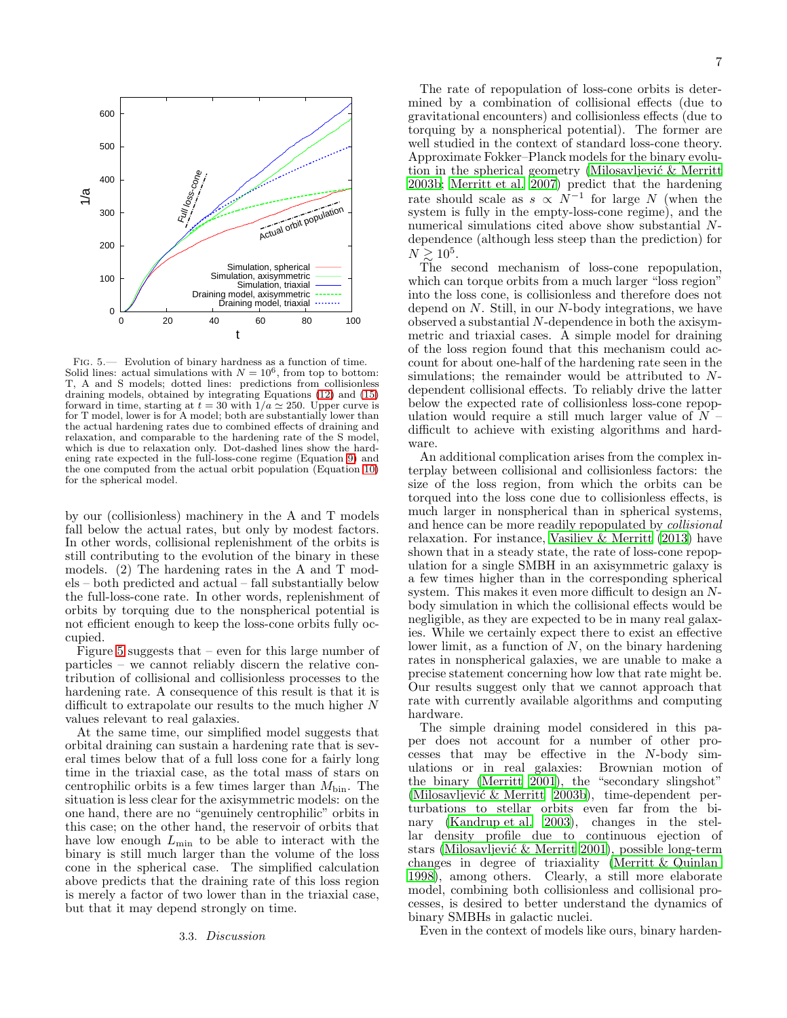

<span id="page-6-0"></span>Fig. 5.— Evolution of binary hardness as a function of time. Solid lines: actual simulations with  $N = 10^6$ , from top to bottom: T, A and S models; dotted lines: predictions from collisionless draining models, obtained by integrating Equations [\(12\)](#page-5-1) and [\(15\)](#page-5-2) forward in time, starting at  $t = 30$  with  $1/a \approx 250$ . Upper curve is for T model, lower is for A model; both are substantially lower than the actual hardening rates due to combined effects of draining and relaxation, and comparable to the hardening rate of the S model, which is due to relaxation only. Dot-dashed lines show the hardening rate expected in the full-loss-cone regime (Equation [9\)](#page-3-4) and the one computed from the actual orbit population (Equation [10\)](#page-4-1) for the spherical model.

by our (collisionless) machinery in the A and T models fall below the actual rates, but only by modest factors. In other words, collisional replenishment of the orbits is still contributing to the evolution of the binary in these models. (2) The hardening rates in the A and T models – both predicted and actual – fall substantially below the full-loss-cone rate. In other words, replenishment of orbits by torquing due to the nonspherical potential is not efficient enough to keep the loss-cone orbits fully occupied.

Figure [5](#page-6-0) suggests that – even for this large number of particles – we cannot reliably discern the relative contribution of collisional and collisionless processes to the hardening rate. A consequence of this result is that it is difficult to extrapolate our results to the much higher  $N$ values relevant to real galaxies.

At the same time, our simplified model suggests that orbital draining can sustain a hardening rate that is several times below that of a full loss cone for a fairly long time in the triaxial case, as the total mass of stars on centrophilic orbits is a few times larger than  $M_{\text{bin}}$ . The situation is less clear for the axisymmetric models: on the one hand, there are no "genuinely centrophilic" orbits in this case; on the other hand, the reservoir of orbits that have low enough  $L_{\text{min}}$  to be able to interact with the binary is still much larger than the volume of the loss cone in the spherical case. The simplified calculation above predicts that the draining rate of this loss region is merely a factor of two lower than in the triaxial case, but that it may depend strongly on time.

### 3.3. Discussion

The rate of repopulation of loss-cone orbits is determined by a combination of collisional effects (due to gravitational encounters) and collisionless effects (due to torquing by a nonspherical potential). The former are well studied in the context of standard loss-cone theory. Approximate Fokker–Planck models for the binary evolution in the spherical geometry (Milosavljević  $\&$  Merritt [2003b](#page-8-20); [Merritt et al. 2007\)](#page-8-19) predict that the hardening rate should scale as  $s \propto N^{-1}$  for large N (when the system is fully in the empty-loss-cone regime), and the numerical simulations cited above show substantial Ndependence (although less steep than the prediction) for  $N \gtrsim 10^5$ .

The second mechanism of loss-cone repopulation, which can torque orbits from a much larger "loss region" into the loss cone, is collisionless and therefore does not depend on N. Still, in our N-body integrations, we have observed a substantial N-dependence in both the axisymmetric and triaxial cases. A simple model for draining of the loss region found that this mechanism could account for about one-half of the hardening rate seen in the simulations; the remainder would be attributed to Ndependent collisional effects. To reliably drive the latter below the expected rate of collisionless loss-cone repopulation would require a still much larger value of  $N$ difficult to achieve with existing algorithms and hardware.

An additional complication arises from the complex interplay between collisional and collisionless factors: the size of the loss region, from which the orbits can be torqued into the loss cone due to collisionless effects, is much larger in nonspherical than in spherical systems, and hence can be more readily repopulated by collisional relaxation. For instance, [Vasiliev & Merritt \(2013](#page-8-12)) have shown that in a steady state, the rate of loss-cone repopulation for a single SMBH in an axisymmetric galaxy is a few times higher than in the corresponding spherical system. This makes it even more difficult to design an Nbody simulation in which the collisional effects would be negligible, as they are expected to be in many real galaxies. While we certainly expect there to exist an effective lower limit, as a function of  $N$ , on the binary hardening rates in nonspherical galaxies, we are unable to make a precise statement concerning how low that rate might be. Our results suggest only that we cannot approach that rate with currently available algorithms and computing hardware.

The simple draining model considered in this paper does not account for a number of other processes that may be effective in the N-body simulations or in real galaxies: Brownian motion of the binary [\(Merritt 2001\)](#page-8-40), the "secondary slingshot" (Milosavljević & Merritt 2003b), time-dependent perturbations to stellar orbits even far from the binary [\(Kandrup et al. 2003\)](#page-8-41), changes in the stellar density profile due to continuous ejection of stars (Milosavljević  $\&$  Merritt 2001), possible long-term changes in degree of triaxiality [\(Merritt & Quinlan](#page-8-42) [1998\)](#page-8-42), among others. Clearly, a still more elaborate model, combining both collisionless and collisional processes, is desired to better understand the dynamics of binary SMBHs in galactic nuclei.

Even in the context of models like ours, binary harden-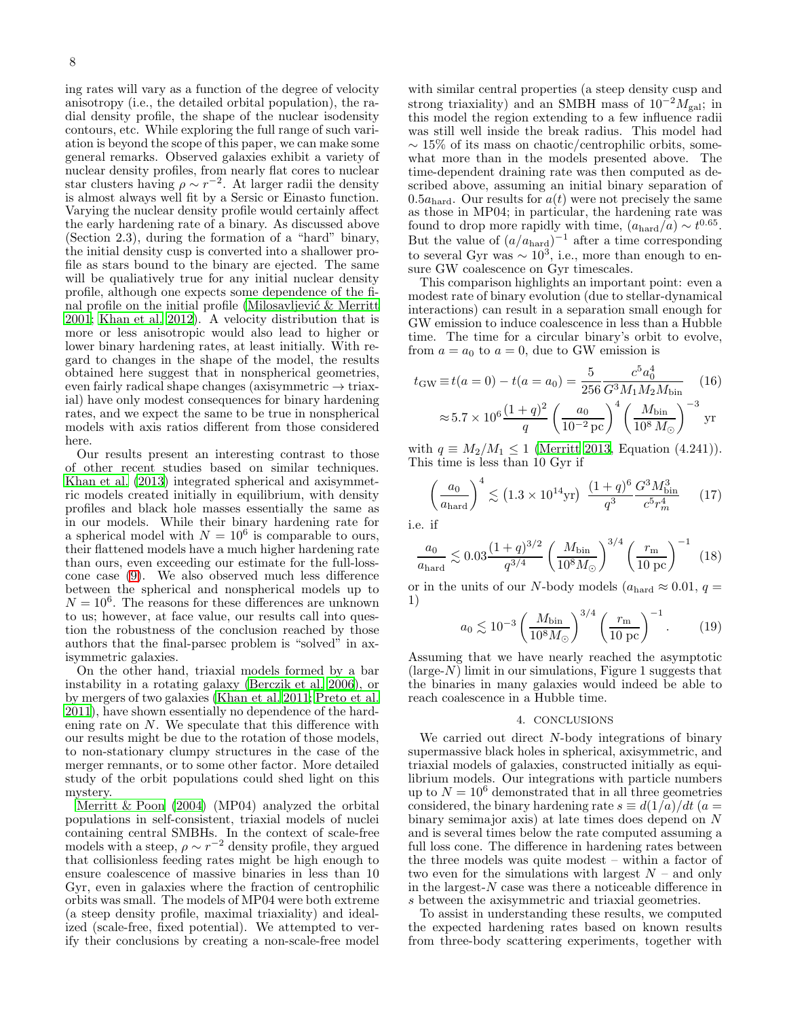ing rates will vary as a function of the degree of velocity anisotropy (i.e., the detailed orbital population), the radial density profile, the shape of the nuclear isodensity contours, etc. While exploring the full range of such variation is beyond the scope of this paper, we can make some general remarks. Observed galaxies exhibit a variety of nuclear density profiles, from nearly flat cores to nuclear star clusters having  $\rho \sim r^{-2}$ . At larger radii the density is almost always well fit by a Sersic or Einasto function. Varying the nuclear density profile would certainly affect the early hardening rate of a binary. As discussed above (Section 2.3), during the formation of a "hard" binary, the initial density cusp is converted into a shallower profile as stars bound to the binary are ejected. The same will be qualiatively true for any initial nuclear density profile, although one expects some dependence of the final profile on the initial profile (Milosavljević  $\&$  Merritt [2001;](#page-8-15) [Khan et al. 2012](#page-8-43)). A velocity distribution that is more or less anisotropic would also lead to higher or lower binary hardening rates, at least initially. With regard to changes in the shape of the model, the results obtained here suggest that in nonspherical geometries, even fairly radical shape changes (axisymmetric  $\rightarrow$  triaxial) have only modest consequences for binary hardening rates, and we expect the same to be true in nonspherical models with axis ratios different from those considered here.

Our results present an interesting contrast to those of other recent studies based on similar techniques. [Khan et al. \(2013\)](#page-8-44) integrated spherical and axisymmetric models created initially in equilibrium, with density profiles and black hole masses essentially the same as in our models. While their binary hardening rate for a spherical model with  $N = 10^6$  is comparable to ours, their flattened models have a much higher hardening rate than ours, even exceeding our estimate for the full-losscone case [\(9\)](#page-3-4). We also observed much less difference between the spherical and nonspherical models up to  $N = 10<sup>6</sup>$ . The reasons for these differences are unknown to us; however, at face value, our results call into question the robustness of the conclusion reached by those authors that the final-parsec problem is "solved" in axisymmetric galaxies.

On the other hand, triaxial models formed by a bar instability in a rotating galaxy [\(Berczik et al. 2006\)](#page-8-45), or by mergers of two galaxies [\(Khan et al. 2011;](#page-8-23) [Preto et al.](#page-8-24) [2011\)](#page-8-24), have shown essentially no dependence of the hardening rate on N. We speculate that this difference with our results might be due to the rotation of those models, to non-stationary clumpy structures in the case of the merger remnants, or to some other factor. More detailed study of the orbit populations could shed light on this mystery.

[Merritt & Poon \(2004](#page-8-21)) (MP04) analyzed the orbital populations in self-consistent, triaxial models of nuclei containing central SMBHs. In the context of scale-free models with a steep,  $\rho \sim r^{-2}$  density profile, they argued that collisionless feeding rates might be high enough to ensure coalescence of massive binaries in less than 10 Gyr, even in galaxies where the fraction of centrophilic orbits was small. The models of MP04 were both extreme (a steep density profile, maximal triaxiality) and idealized (scale-free, fixed potential). We attempted to verify their conclusions by creating a non-scale-free model

with similar central properties (a steep density cusp and strong triaxiality) and an SMBH mass of  $10^{-2}M_{\text{gal}}$ ; in this model the region extending to a few influence radii was still well inside the break radius. This model had  $\sim 15\%$  of its mass on chaotic/centrophilic orbits, somewhat more than in the models presented above. The time-dependent draining rate was then computed as described above, assuming an initial binary separation of 0.5 $a_{\text{hard}}$ . Our results for  $a(t)$  were not precisely the same as those in MP04; in particular, the hardening rate was found to drop more rapidly with time,  $(a_{\text{hard}}/\tilde{a}) \sim t^{0.65}$ . But the value of  $(a/a_{\text{hard}})^{-1}$  after a time corresponding to several Gyr was  $\sim 10^3$ , i.e., more than enough to ensure GW coalescence on Gyr timescales.

This comparison highlights an important point: even a modest rate of binary evolution (due to stellar-dynamical interactions) can result in a separation small enough for GW emission to induce coalescence in less than a Hubble time. The time for a circular binary's orbit to evolve, from  $a = a_0$  to  $a = 0$ , due to GW emission is

$$
t_{\rm GW} \equiv t(a=0) - t(a=a_0) = \frac{5}{256} \frac{c^5 a_0^4}{G^3 M_1 M_2 M_{\rm bin}} \tag{16}
$$

$$
\approx 5.7 \times 10^6 \frac{(1+q)^2}{q} \left(\frac{a_0}{10^{-2} \,\text{pc}}\right)^4 \left(\frac{M_{\rm bin}}{10^8 M_\odot}\right)^{-3} \text{yr}
$$

with  $q \equiv M_2/M_1 \leq 1$  [\(Merritt 2013,](#page-8-13) Equation (4.241)). This time is less than 10 Gyr if

$$
\left(\frac{a_0}{a_{\text{hard}}}\right)^4 \lesssim \left(1.3 \times 10^{14} \text{yr}\right) \frac{(1+q)^6}{q^3} \frac{G^3 M_{\text{bin}}^3}{c^5 r_m^4} \tag{17}
$$

i.e. if

$$
\frac{a_0}{a_{\text{hard}}} \lesssim 0.03 \frac{(1+q)^{3/2}}{q^{3/4}} \left(\frac{M_{\text{bin}}}{10^8 M_{\odot}}\right)^{3/4} \left(\frac{r_{\text{m}}}{10 \text{ pc}}\right)^{-1} (18)
$$

or in the units of our N-body models ( $a_{\text{hard}} \approx 0.01$ ,  $q =$ 1)

$$
a_0 \lesssim 10^{-3} \left(\frac{M_{\text{bin}}}{10^8 M_{\odot}}\right)^{3/4} \left(\frac{r_{\text{m}}}{10 \text{ pc}}\right)^{-1}.
$$
 (19)

Assuming that we have nearly reached the asymptotic  $(\text{large-}N)$  limit in our simulations, Figure 1 suggests that the binaries in many galaxies would indeed be able to reach coalescence in a Hubble time.

## 4. CONCLUSIONS

We carried out direct N-body integrations of binary supermassive black holes in spherical, axisymmetric, and triaxial models of galaxies, constructed initially as equilibrium models. Our integrations with particle numbers up to  $N = 10^6$  demonstrated that in all three geometries considered, the binary hardening rate  $s \equiv d(1/a)/dt$  (a = binary semimajor axis) at late times does depend on N and is several times below the rate computed assuming a full loss cone. The difference in hardening rates between the three models was quite modest – within a factor of two even for the simulations with largest  $N$  – and only in the largest- $N$  case was there a noticeable difference in s between the axisymmetric and triaxial geometries.

To assist in understanding these results, we computed the expected hardening rates based on known results from three-body scattering experiments, together with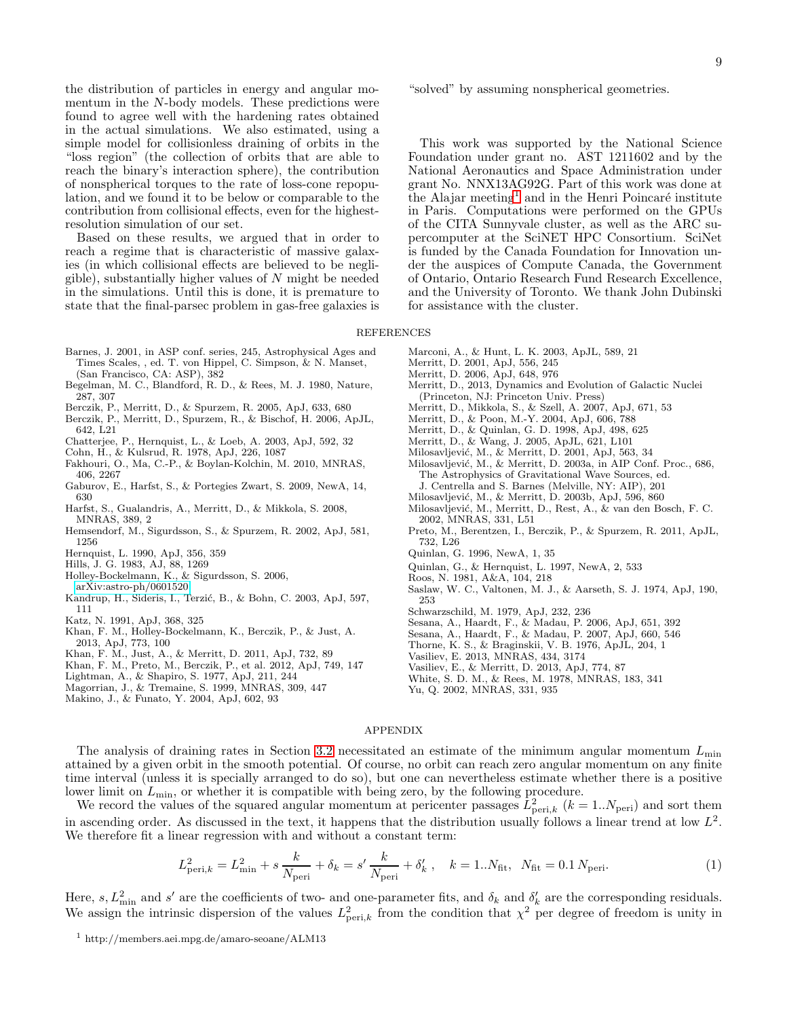the distribution of particles in energy and angular momentum in the N-body models. These predictions were found to agree well with the hardening rates obtained in the actual simulations. We also estimated, using a simple model for collisionless draining of orbits in the "loss region" (the collection of orbits that are able to reach the binary's interaction sphere), the contribution of nonspherical torques to the rate of loss-cone repopulation, and we found it to be below or comparable to the contribution from collisional effects, even for the highestresolution simulation of our set.

Based on these results, we argued that in order to reach a regime that is characteristic of massive galaxies (in which collisional effects are believed to be negligible), substantially higher values of  $N$  might be needed in the simulations. Until this is done, it is premature to state that the final-parsec problem in gas-free galaxies is

- <span id="page-8-2"></span>Barnes, J. 2001, in ASP conf. series, 245, Astrophysical Ages and Times Scales, , ed. T. von Hippel, C. Simpson, & N. Manset, (San Francisco, CA: ASP), 382
- <span id="page-8-3"></span>Begelman, M. C., Blandford, R. D., & Rees, M. J. 1980, Nature, 287, 307
- <span id="page-8-18"></span>Berczik, P., Merritt, D., & Spurzem, R. 2005, ApJ, 633, 680
- <span id="page-8-45"></span>Berczik, P., Merritt, D., Spurzem, R., & Bischof, H. 2006, ApJL,
- 642, L21
- <span id="page-8-33"></span>Chatterjee, P., Hernquist, L., & Loeb, A. 2003, ApJ, 592, 32
- <span id="page-8-9"></span>Cohn, H., & Kulsrud, R. 1978, ApJ, 226, 1087
- <span id="page-8-0"></span>Fakhouri, O., Ma, C.-P., & Boylan-Kolchin, M. 2010, MNRAS, 406, 2267
- <span id="page-8-30"></span>Gaburov, E., Harfst, S., & Portegies Zwart, S. 2009, NewA, 14, 630
- <span id="page-8-29"></span>Harfst, S., Gualandris, A., Merritt, D., & Mikkola, S. 2008, MNRAS, 389, 2
- <span id="page-8-16"></span>Hemsendorf, M., Sigurdsson, S., & Spurzem, R. 2002, ApJ, 581, 1256
- <span id="page-8-25"></span>Hernquist, L. 1990, ApJ, 356, 359
- <span id="page-8-34"></span>Hills, J. G. 1983, AJ, 88, 1269
- <span id="page-8-22"></span>Holley-Bockelmann, K., & Sigurdsson, S. 2006, [arXiv:astro-ph/0601520](http://arxiv.org/abs/astro-ph/0601520)
- <span id="page-8-41"></span>Kandrup, H., Sideris, I., Terzić, B., & Bohn, C. 2003, ApJ, 597, 111
- <span id="page-8-32"></span>Katz, N. 1991, ApJ, 368, 325
- <span id="page-8-44"></span>Khan, F. M., Holley-Bockelmann, K., Berczik, P., & Just, A. 2013, ApJ, 773, 100
- <span id="page-8-23"></span>Khan, F. M., Just, A., & Merritt, D. 2011, ApJ, 732, 89
- <span id="page-8-43"></span>Khan, F. M., Preto, M., Berczik, P., et al. 2012, ApJ, 749, 147
- <span id="page-8-8"></span>Lightman, A., & Shapiro, S. 1977, ApJ, 211, 244
- <span id="page-8-10"></span>Magorrian, J., & Tremaine, S. 1999, MNRAS, 309, 447
- <span id="page-8-17"></span>Makino, J., & Funato, Y. 2004, ApJ, 602, 93

"solved" by assuming nonspherical geometries.

This work was supported by the National Science Foundation under grant no. AST 1211602 and by the National Aeronautics and Space Administration under grant No. NNX13AG92G. Part of this work was done at the Alajar meeting<sup>[1](#page-8-46)</sup> and in the Henri Poincaré institute in Paris. Computations were performed on the GPUs of the CITA Sunnyvale cluster, as well as the ARC supercomputer at the SciNET HPC Consortium. SciNet is funded by the Canada Foundation for Innovation under the auspices of Compute Canada, the Government of Ontario, Ontario Research Fund Research Excellence, and the University of Toronto. We thank John Dubinski for assistance with the cluster.

REFERENCES

- <span id="page-8-26"></span>Marconi, A., & Hunt, L. K. 2003, ApJL, 589, 21
- <span id="page-8-40"></span>Merritt, D. 2001, ApJ, 556, 245
- <span id="page-8-37"></span>Merritt, D. 2006, ApJ, 648, 976
- <span id="page-8-13"></span>Merritt, D., 2013, Dynamics and Evolution of Galactic Nuclei (Princeton, NJ: Princeton Univ. Press)
- <span id="page-8-19"></span>Merritt, D., Mikkola, S., & Szell, A. 2007, ApJ, 671, 53
- <span id="page-8-21"></span>Merritt, D., & Poon, M.-Y. 2004, ApJ, 606, 788
- <span id="page-8-42"></span>Merritt, D., & Quinlan, G. D. 1998, ApJ, 498, 625
- <span id="page-8-38"></span>Merritt, D., & Wang, J. 2005, ApJL, 621, L101
- <span id="page-8-15"></span>Milosavljević, M., & Merritt, D. 2001, ApJ, 563, 34
- <span id="page-8-7"></span>Milosavljević, M., & Merritt, D. 2003a, in AIP Conf. Proc., 686, The Astrophysics of Gravitational Wave Sources, ed. J. Centrella and S. Barnes (Melville, NY: AIP), 201
- <span id="page-8-20"></span>Milosavljević, M., & Merritt, D. 2003b, ApJ, 596, 860
- <span id="page-8-31"></span>Milosavljević, M., Merritt, D., Rest, A., & van den Bosch, F. C. 2002, MNRAS, 331, L51
- <span id="page-8-24"></span>Preto, M., Berentzen, I., Berczik, P., & Spurzem, R. 2011, ApJL, 732, L26
- <span id="page-8-36"></span>Quinlan, G. 1996, NewA, 1, 35
- <span id="page-8-14"></span>Quinlan, G., & Hernquist, L. 1997, NewA, 2, 533
- <span id="page-8-4"></span>Roos, N. 1981, A&A, 104, 218
- <span id="page-8-6"></span>Saslaw, W. C., Valtonen, M. J., & Aarseth, S. J. 1974, ApJ, 190, 253
- <span id="page-8-27"></span>Schwarzschild, M. 1979, ApJ, 232, 236
- <span id="page-8-35"></span>Sesana, A., Haardt, F., & Madau, P. 2006, ApJ, 651, 392
- <span id="page-8-39"></span>Sesana, A., Haardt, F., & Madau, P. 2007, ApJ, 660, 546
- <span id="page-8-5"></span>Thorne, K. S., & Braginskii, V. B. 1976, ApJL, 204, 1
- <span id="page-8-28"></span>Vasiliev, E. 2013, MNRAS, 434, 3174
- <span id="page-8-12"></span>Vasiliev, E., & Merritt, D. 2013, ApJ, 774, 87
- <span id="page-8-1"></span>White, S. D. M., & Rees, M. 1978, MNRAS, 183, 341
- <span id="page-8-11"></span>Yu, Q. 2002, MNRAS, 331, 935

### APPENDIX

The analysis of draining rates in Section [3.2](#page-5-3) necessitated an estimate of the minimum angular momentum  $L_{\text{min}}$ attained by a given orbit in the smooth potential. Of course, no orbit can reach zero angular momentum on any finite time interval (unless it is specially arranged to do so), but one can nevertheless estimate whether there is a positive lower limit on  $L_{\text{min}}$ , or whether it is compatible with being zero, by the following procedure.

We record the values of the squared angular momentum at pericenter passages  $\bar{L}_{\text{peri},k}^2$  ( $k = 1..N_{\text{peri}}$ ) and sort them in ascending order. As discussed in the text, it happens that the distribution usually follows a linear trend at low  $L^2$ . We therefore fit a linear regression with and without a constant term:

$$
L_{\text{peri},k}^2 = L_{\text{min}}^2 + s \frac{k}{N_{\text{peri}}} + \delta_k = s' \frac{k}{N_{\text{peri}}} + \delta'_k , \quad k = 1..N_{\text{fit}}, N_{\text{fit}} = 0.1 N_{\text{peri}}.
$$
 (1)

Here, s,  $L_{\text{min}}^2$  and s' are the coefficients of two- and one-parameter fits, and  $\delta_k$  and  $\delta'_k$  are the corresponding residuals. We assign the intrinsic dispersion of the values  $L_{\text{peri},k}^2$  from the condition that  $\chi^2$  per degree of freedom is unity in

<span id="page-8-46"></span><sup>1</sup> http://members.aei.mpg.de/amaro-seoane/ALM13